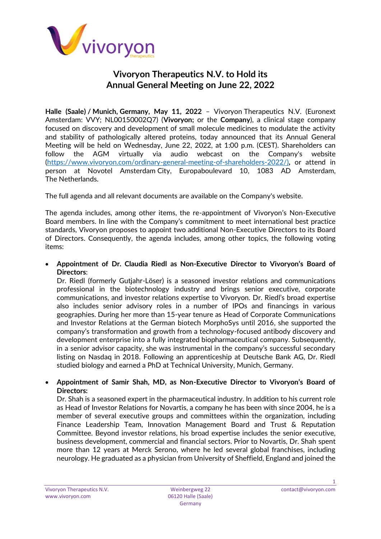

# **Vivoryon Therapeutics N.V. to Hold its Annual General Meeting on June 22, 2022**

**Halle (Saale) / Munich, Germany, May 11, 2022** – Vivoryon Therapeutics N.V. (Euronext Amsterdam: VVY; NL00150002Q7) (**Vivoryon;** or the **Company**), a clinical stage company focused on discovery and development of small molecule medicines to modulate the activity and stability of pathologically altered proteins, today announced that its Annual General Meeting will be held on Wednesday, June 22, 2022, at 1:00 p.m. (CEST). Shareholders can follow the AGM virtually via audio webcast on the Company's website [\(https://www.vivoryon.com/ordinary-general-meeting-of-shareholders-2022/\)](https://www.vivoryon.com/ordinary-general-meeting-of-shareholders-2022/)**,** or attend in person at Novotel Amsterdam City, Europaboulevard 10, 1083 AD Amsterdam, The Netherlands.

The full agenda and all relevant documents are available on the Company's website.

The agenda includes, among other items, the re-appointment of Vivoryon's Non-Executive Board members. In line with the Company's commitment to meet international best practice standards, Vivoryon proposes to appoint two additional Non-Executive Directors to its Board of Directors. Consequently, the agenda includes, among other topics, the following voting items:

• **Appointment of Dr. Claudia Riedl as Non-Executive Director to Vivoryon's Board of Directors**:

Dr. Riedl (formerly Gutjahr-Löser) is a seasoned investor relations and communications professional in the biotechnology industry and brings senior executive, corporate communications, and investor relations expertise to Vivoryon. Dr. Riedl's broad expertise also includes senior advisory roles in a number of IPOs and financings in various geographies. During her more than 15-year tenure as Head of Corporate Communications and Investor Relations at the German biotech MorphoSys until 2016, she supported the company's transformation and growth from a technology-focused antibody discovery and development enterprise into a fully integrated biopharmaceutical company. Subsequently, in a senior advisor capacity, she was instrumental in the company's successful secondary listing on Nasdaq in 2018. Following an apprenticeship at Deutsche Bank AG, Dr. Riedl studied biology and earned a PhD at Technical University, Munich, Germany.

## • **Appointment of Samir Shah, MD, as Non-Executive Director to Vivoryon's Board of Directors:**

Dr. Shah is a seasoned expert in the pharmaceutical industry. In addition to his current role as Head of Investor Relations for Novartis, a company he has been with since 2004, he is a member of several executive groups and committees within the organization, including Finance Leadership Team, Innovation Management Board and Trust & Reputation Committee. Beyond investor relations, his broad expertise includes the senior executive, business development, commercial and financial sectors. Prior to Novartis, Dr. Shah spent more than 12 years at Merck Serono, where he led several global franchises, including neurology. He graduated as a physician from University of Sheffield, England and joined the

1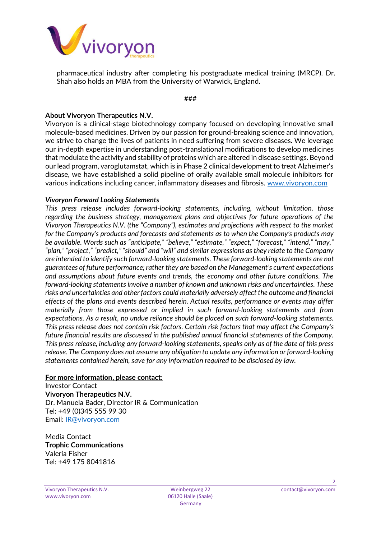

pharmaceutical industry after completing his postgraduate medical training (MRCP). Dr. Shah also holds an MBA from the University of Warwick, England.

###

## **About Vivoryon Therapeutics N.V.**

Vivoryon is a clinical-stage biotechnology company focused on developing innovative small molecule-based medicines. Driven by our passion for ground-breaking science and innovation, we strive to change the lives of patients in need suffering from severe diseases. We leverage our in-depth expertise in understanding post-translational modifications to develop medicines that modulate the activity and stability of proteins which are altered in disease settings. Beyond our lead program, varoglutamstat, which is in Phase 2 clinical development to treat Alzheimer's disease, we have established a solid pipeline of orally available small molecule inhibitors for various indications including cancer, inflammatory diseases and fibrosis. [www.vivoryon.com](http://www.vivoryon.com/)

### *Vivoryon Forward Looking Statements*

*This press release includes forward-looking statements, including, without limitation, those regarding the business strategy, management plans and objectives for future operations of the Vivoryon Therapeutics N.V. (the "Company"), estimates and projections with respect to the market for the Company's products and forecasts and statements as to when the Company's products may be available. Words such as "anticipate," "believe," "estimate," "expect," "forecast," "intend," "may," "plan," "project," "predict," "should" and "will" and similar expressions as they relate to the Company are intended to identify such forward-looking statements. These forward-looking statements are not guarantees of future performance; rather they are based on the Management's current expectations and assumptions about future events and trends, the economy and other future conditions. The forward-looking statements involve a number of known and unknown risks and uncertainties. These risks and uncertainties and other factors could materially adversely affect the outcome and financial effects of the plans and events described herein. Actual results, performance or events may differ materially from those expressed or implied in such forward-looking statements and from expectations. As a result, no undue reliance should be placed on such forward-looking statements. This press release does not contain risk factors. Certain risk factors that may affect the Company's future financial results are discussed in the published annual financial statements of the Company. This press release, including any forward-looking statements, speaks only as of the date of this press release. The Company does not assume any obligation to update any information or forward-looking statements contained herein, save for any information required to be disclosed by law.*

### **For more information, please contact:**

Investor Contact **Vivoryon Therapeutics N.V.** Dr. Manuela Bader, Director IR & Communication Tel: +49 (0)345 555 99 30 Email: [IR@vivoryon.com](mailto:IR@vivoryon.com)

Media Contact **Trophic Communications** Valeria Fisher Tel: +49 175 8041816